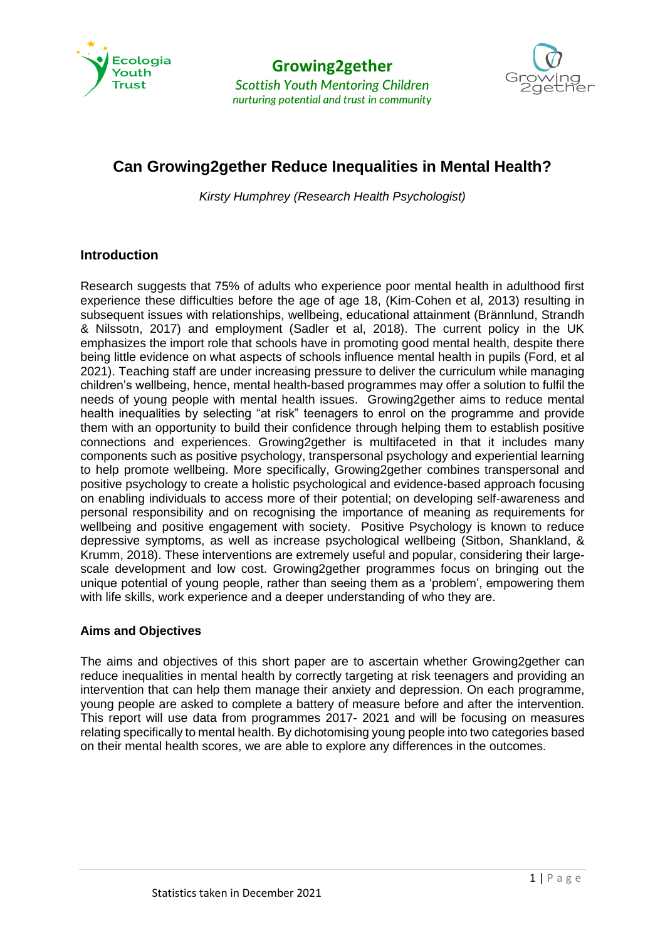



# **Can Growing2gether Reduce Inequalities in Mental Health?**

*Kirsty Humphrey (Research Health Psychologist)*

# **Introduction**

Research suggests that 75% of adults who experience poor mental health in adulthood first experience these difficulties before the age of age 18, (Kim-Cohen et al, 2013) resulting in subsequent issues with relationships, wellbeing, educational attainment (Brännlund, Strandh & Nilssotn, 2017) and employment (Sadler et al, 2018). The current policy in the UK emphasizes the import role that schools have in promoting good mental health, despite there being little evidence on what aspects of schools influence mental health in pupils (Ford, et al 2021). Teaching staff are under increasing pressure to deliver the curriculum while managing children's wellbeing, hence, mental health-based programmes may offer a solution to fulfil the needs of young people with mental health issues. Growing2gether aims to reduce mental health inequalities by selecting "at risk" teenagers to enrol on the programme and provide them with an opportunity to build their confidence through helping them to establish positive connections and experiences. Growing2gether is multifaceted in that it includes many components such as positive psychology, transpersonal psychology and experiential learning to help promote wellbeing. More specifically, Growing2gether combines transpersonal and positive psychology to create a holistic psychological and evidence-based approach focusing on enabling individuals to access more of their potential; on developing self-awareness and personal responsibility and on recognising the importance of meaning as requirements for wellbeing and positive engagement with society. Positive Psychology is known to reduce depressive symptoms, as well as increase psychological wellbeing (Sitbon, Shankland, & Krumm, 2018). These interventions are extremely useful and popular, considering their largescale development and low cost. Growing2gether programmes focus on bringing out the unique potential of young people, rather than seeing them as a 'problem', empowering them with life skills, work experience and a deeper understanding of who they are.

# **Aims and Objectives**

The aims and objectives of this short paper are to ascertain whether Growing2gether can reduce inequalities in mental health by correctly targeting at risk teenagers and providing an intervention that can help them manage their anxiety and depression. On each programme, young people are asked to complete a battery of measure before and after the intervention. This report will use data from programmes 2017- 2021 and will be focusing on measures relating specifically to mental health. By dichotomising young people into two categories based on their mental health scores, we are able to explore any differences in the outcomes.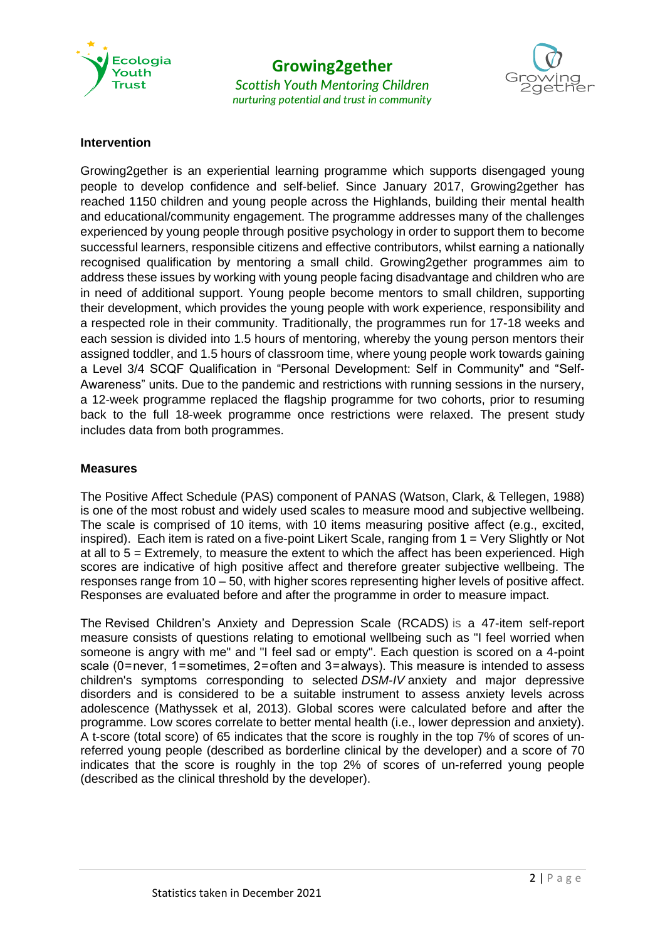

## **Growing2gether** *Scottish Youth Mentoring Children nurturing potential and trust in community*



#### **Intervention**

Growing2gether is an experiential learning programme which supports disengaged young people to develop confidence and self-belief. Since January 2017, Growing2gether has reached 1150 children and young people across the Highlands, building their mental health and educational/community engagement. The programme addresses many of the challenges experienced by young people through positive psychology in order to support them to become successful learners, responsible citizens and effective contributors, whilst earning a nationally recognised qualification by mentoring a small child. Growing2gether programmes aim to address these issues by working with young people facing disadvantage and children who are in need of additional support. Young people become mentors to small children, supporting their development, which provides the young people with work experience, responsibility and a respected role in their community. Traditionally, the programmes run for 17-18 weeks and each session is divided into 1.5 hours of mentoring, whereby the young person mentors their assigned toddler, and 1.5 hours of classroom time, where young people work towards gaining a Level 3/4 SCQF Qualification in "Personal Development: Self in Community" and "Self-Awareness" units. Due to the pandemic and restrictions with running sessions in the nursery, a 12-week programme replaced the flagship programme for two cohorts, prior to resuming back to the full 18-week programme once restrictions were relaxed. The present study includes data from both programmes.

#### **Measures**

The Positive Affect Schedule (PAS) component of PANAS (Watson, Clark, & Tellegen, 1988) is one of the most robust and widely used scales to measure mood and subjective wellbeing. The scale is comprised of 10 items, with 10 items measuring positive affect (e.g., excited, inspired). Each item is rated on a five-point Likert Scale, ranging from 1 = Very Slightly or Not at all to  $5$  = Extremely, to measure the extent to which the affect has been experienced. High scores are indicative of high positive affect and therefore greater subjective wellbeing. The responses range from 10 – 50, with higher scores representing higher levels of positive affect. Responses are evaluated before and after the programme in order to measure impact.

The Revised Children's Anxiety and Depression Scale (RCADS) is a 47-item self-report measure consists of questions relating to emotional wellbeing such as "I feel worried when someone is angry with me" and "I feel sad or empty". Each question is scored on a 4-point scale (0 = never, 1 = sometimes, 2 = often and 3 = always). This measure is intended to assess children's symptoms corresponding to selected *DSM-IV* anxiety and major depressive disorders and is considered to be a suitable instrument to assess anxiety levels across adolescence (Mathyssek et al, 2013). Global scores were calculated before and after the programme. Low scores correlate to better mental health (i.e., lower depression and anxiety). A t-score (total score) of 65 indicates that the score is roughly in the top 7% of scores of unreferred young people (described as borderline clinical by the developer) and a score of 70 indicates that the score is roughly in the top 2% of scores of un-referred young people (described as the clinical threshold by the developer).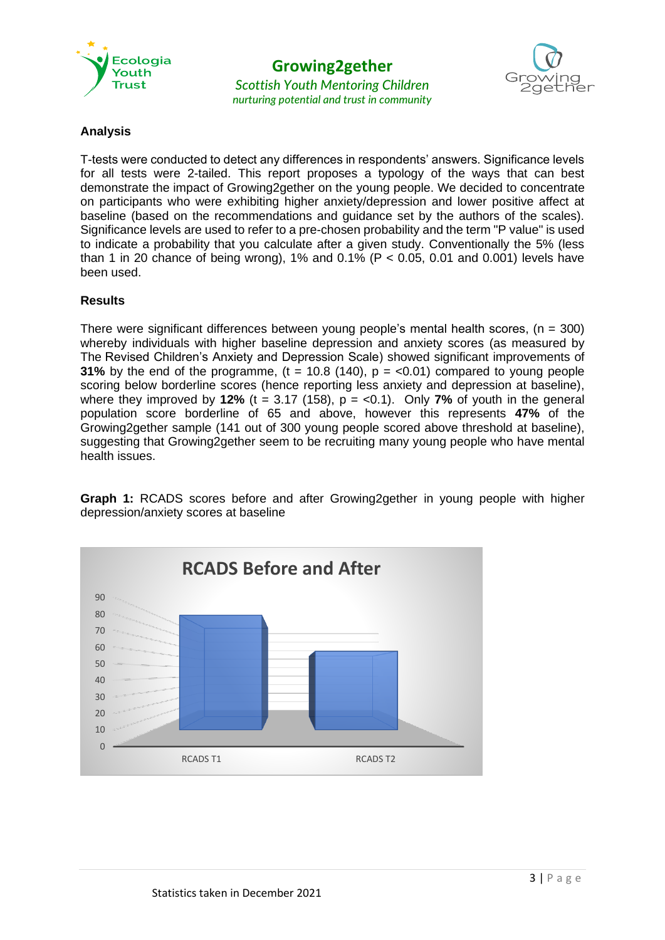

**Growing2gether**

*Scottish Youth Mentoring Children nurturing potential and trust in community*



## **Analysis**

T-tests were conducted to detect any differences in respondents' answers. Significance levels for all tests were 2-tailed. This report proposes a typology of the ways that can best demonstrate the impact of Growing2gether on the young people. We decided to concentrate on participants who were exhibiting higher anxiety/depression and lower positive affect at baseline (based on the recommendations and guidance set by the authors of the scales). Significance levels are used to refer to a pre-chosen probability and the term "P value" is used to indicate a probability that you calculate after a given study. Conventionally the 5% (less than 1 in 20 chance of being wrong), 1% and 0.1% ( $P < 0.05$ , 0.01 and 0.001) levels have been used.

## **Results**

There were significant differences between young people's mental health scores,  $(n = 300)$ whereby individuals with higher baseline depression and anxiety scores (as measured by The Revised Children's Anxiety and Depression Scale) showed significant improvements of **31%** by the end of the programme,  $(t = 10.8 (140), p = <0.01)$  compared to young people scoring below borderline scores (hence reporting less anxiety and depression at baseline), where they improved by **12%** (t = 3.17 (158),  $p = <0.1$ ). Only **7%** of youth in the general population score borderline of 65 and above, however this represents **47%** of the Growing2gether sample (141 out of 300 young people scored above threshold at baseline), suggesting that Growing2gether seem to be recruiting many young people who have mental health issues.

**Graph 1:** RCADS scores before and after Growing2gether in young people with higher depression/anxiety scores at baseline

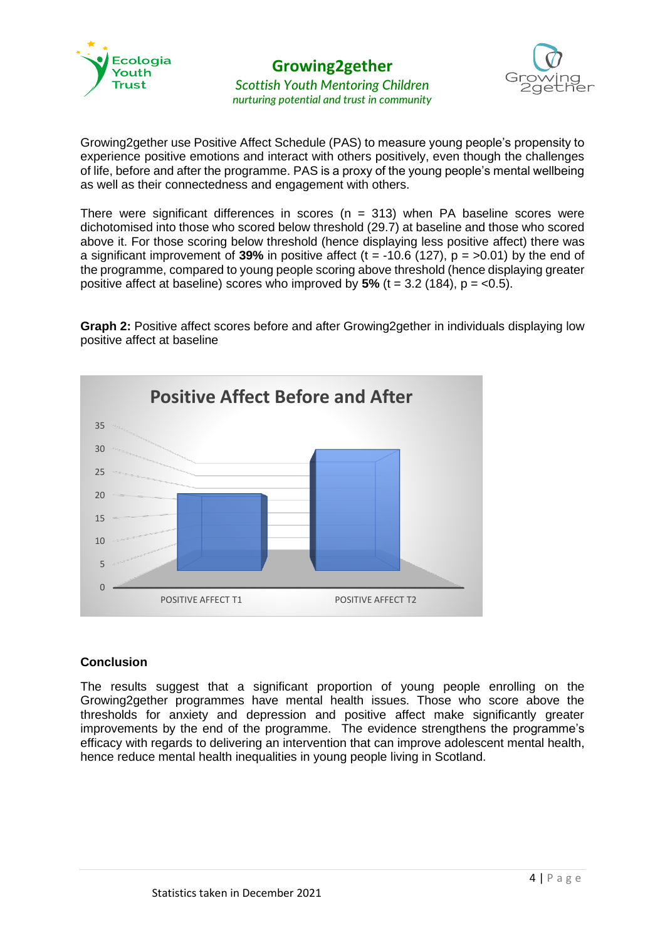



Growing2gether use Positive Affect Schedule (PAS) to measure young people's propensity to experience positive emotions and interact with others positively, even though the challenges of life, before and after the programme. PAS is a proxy of the young people's mental wellbeing as well as their connectedness and engagement with others.

There were significant differences in scores ( $n = 313$ ) when PA baseline scores were dichotomised into those who scored below threshold (29.7) at baseline and those who scored above it. For those scoring below threshold (hence displaying less positive affect) there was a significant improvement of **39%** in positive affect ( $t = -10.6$  (127),  $p = >0.01$ ) by the end of the programme, compared to young people scoring above threshold (hence displaying greater positive affect at baseline) scores who improved by  $5\%$  (t = 3.2 (184), p =  $<0.5$ ).

**Graph 2:** Positive affect scores before and after Growing2gether in individuals displaying low positive affect at baseline



## **Conclusion**

The results suggest that a significant proportion of young people enrolling on the Growing2gether programmes have mental health issues. Those who score above the thresholds for anxiety and depression and positive affect make significantly greater improvements by the end of the programme. The evidence strengthens the programme's efficacy with regards to delivering an intervention that can improve adolescent mental health, hence reduce mental health inequalities in young people living in Scotland.